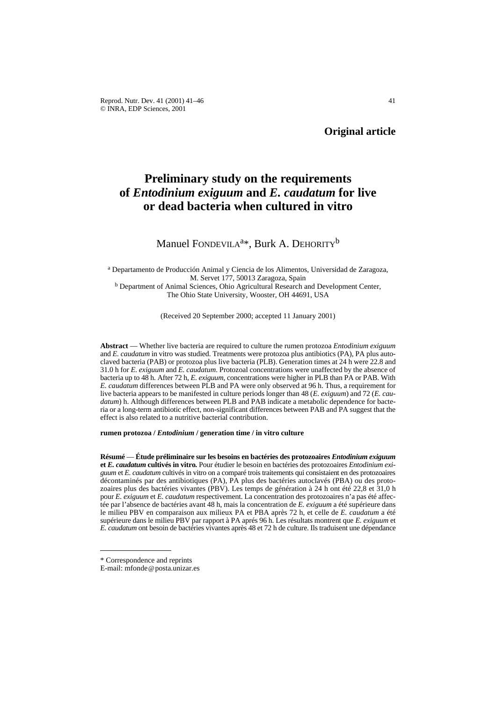# **Preliminary study on the requirements of** *Entodinium exiguum* **and** *E. caudatum* **for live or dead bacteria when cultured in vitro**

# Manuel FONDEVILA<sup>a\*</sup>, Burk A. DEHORITY<sup>b</sup>

<sup>a</sup> Departamento de Producción Animal y Ciencia de los Alimentos, Universidad de Zaragoza, M. Servet 177, 50013 Zaragoza, Spain **b Department of Animal Sciences, Ohio Agricultural Research and Development Center,** 

The Ohio State University, Wooster, OH 44691, USA

(Received 20 September 2000; accepted 11 January 2001)

**Abstract** — Whether live bacteria are required to culture the rumen protozoa *Entodinium exiguum* and *E. caudatum* in vitro was studied. Treatments were protozoa plus antibiotics (PA), PA plus autoclaved bacteria (PAB) or protozoa plus live bacteria (PLB). Generation times at 24 h were 22.8 and 31.0 h for *E. exiguum* and *E. caudatum*. Protozoal concentrations were unaffected by the absence of bacteria up to 48 h. After 72 h, *E. exiguum*, concentrations were higher in PLB than PA or PAB. With *E. caudatum* differences between PLB and PA were only observed at 96 h. Thus, a requirement for live bacteria appears to be manifested in culture periods longer than 48 (*E. exiguum*) and 72 (*E. caudatum*) h. Although differences between PLB and PAB indicate a metabolic dependence for bacteria or a long-term antibiotic effect, non-significant differences between PAB and PA suggest that the effect is also related to a nutritive bacterial contribution.

### **rumen protozoa /** *Entodinium* **/ generation time / in vitro culture**

**Résumé** — **Étude préliminaire sur les besoins en bactéries des protozoaires** *Entodinium exiguum* **et** *E. caudatum* **cultivés in vitro***.* Pour étudier le besoin en bactéries des protozoaires *Entodinium exiguum* et *E. caudatum* cultivés in vitro on a comparé trois traitements qui consistaient en des protozoaires décontaminés par des antibiotiques (PA), PA plus des bactéries autoclavés (PBA) ou des protozoaires plus des bactéries vivantes (PBV). Les temps de génération à 24 h ont été 22,8 et 31,0 h pour *E. exiguum* et *E. caudatum* respectivement. La concentration des protozoaires n'a pas été affectée par l'absence de bactéries avant 48 h, mais la concentration de *E. exiguum* a été supérieure dans le milieu PBV en comparaison aux milieux PA et PBA après 72 h, et celle de *E. caudatum* a été supérieure dans le milieu PBV par rapport à PA aprés 96 h. Les résultats montrent que *E. exiguum* et *E. caudatum* ont besoin de bactéries vivantes après 48 et 72 h de culture. Ils traduisent une dépendance

<sup>\*</sup> Correspondence and reprints

E-mail: mfonde@posta.unizar.es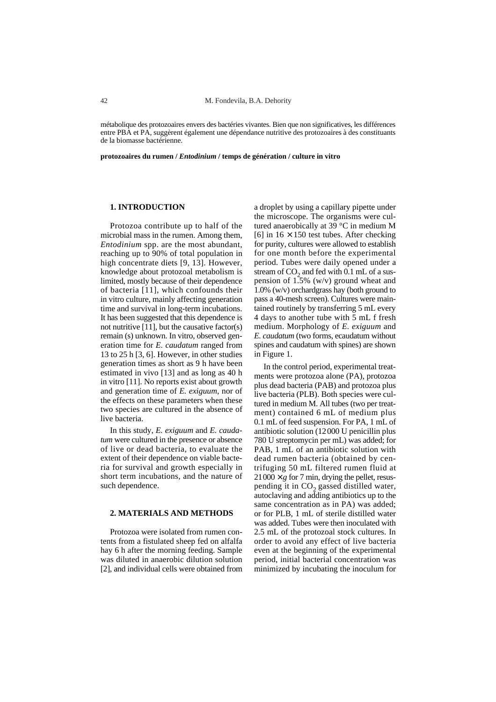métabolique des protozoaires envers des bactéries vivantes. Bien que non significatives, les différences entre PBA et PA, suggèrent également une dépendance nutritive des protozoaires à des constituants de la biomasse bactérienne.

**protozoaires du rumen /** *Entodinium* **/ temps de génération / culture in vitro**

## **1. INTRODUCTION**

Protozoa contribute up to half of the microbial mass in the rumen. Among them, *Entodinium* spp. are the most abundant, reaching up to 90% of total population in high concentrate diets [9, 13]. However, knowledge about protozoal metabolism is limited, mostly because of their dependence of bacteria [11], which confounds their in vitro culture, mainly affecting generation time and survival in long-term incubations. It has been suggested that this dependence is not nutritive [11], but the causative factor(s) remain (s) unknown. In vitro, observed generation time for *E. caudatum* ranged from 13 to 25 h [3, 6]. However, in other studies generation times as short as 9 h have been estimated in vivo [13] and as long as 40 h in vitro [11]. No reports exist about growth and generation time of *E. exiguum*, nor of the effects on these parameters when these two species are cultured in the absence of live bacteria.

In this study, *E. exiguum* and *E. caudatum* were cultured in the presence or absence of live or dead bacteria, to evaluate the extent of their dependence on viable bacteria for survival and growth especially in short term incubations, and the nature of such dependence.

#### **2. MATERIALS AND METHODS**

Protozoa were isolated from rumen contents from a fistulated sheep fed on alfalfa hay 6 h after the morning feeding. Sample was diluted in anaerobic dilution solution [2], and individual cells were obtained from

a droplet by using a capillary pipette under the microscope. The organisms were cultured anaerobically at 39 °C in medium M [6] in  $16 \times 150$  test tubes. After checking for purity, cultures were allowed to establish for one month before the experimental period. Tubes were daily opened under a stream of  $CO<sub>2</sub>$  and fed with  $0.1$  mL of a suspension of  $1.5\%$  (w/v) ground wheat and 1.0% (w/v) orchardgrass hay (both ground to pass a 40-mesh screen). Cultures were maintained routinely by transferring 5 mL every 4 days to another tube with 5 mL f fresh medium. Morphology of *E. exiguum* and *E. caudatum* (two forms, ecaudatum without spines and caudatum with spines) are shown in Figure 1.

In the control period, experimental treatments were protozoa alone (PA), protozoa plus dead bacteria (PAB) and protozoa plus live bacteria (PLB). Both species were cultured in medium M. All tubes (two per treatment) contained 6 mL of medium plus 0.1 mL of feed suspension. For PA, 1 mL of antibiotic solution (12000 U penicillin plus 780 U streptomycin per mL) was added; for PAB, 1 mL of an antibiotic solution with dead rumen bacteria (obtained by centrifuging 50 mL filtered rumen fluid at  $21000 \times g$  for 7 min, drying the pellet, resuspending it in CO<sub>2</sub> gassed distilled water, autoclaving and adding antibiotics up to the same concentration as in PA) was added; or for PLB, 1 mL of sterile distilled water was added. Tubes were then inoculated with 2.5 mL of the protozoal stock cultures. In order to avoid any effect of live bacteria even at the beginning of the experimental period, initial bacterial concentration was minimized by incubating the inoculum for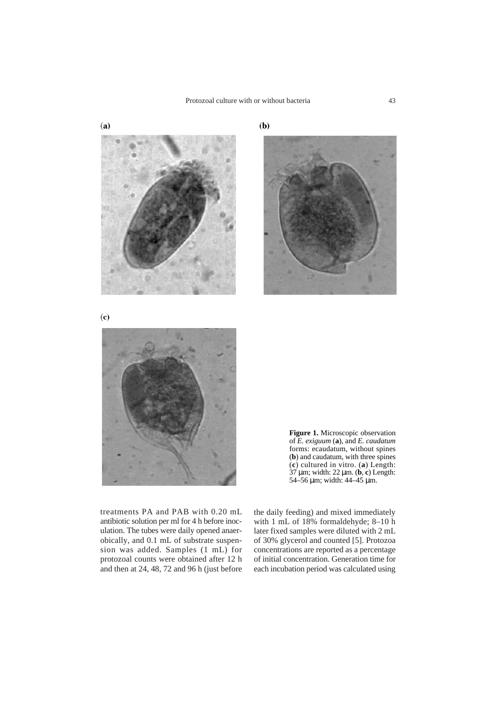









treatments PA and PAB with 0.20 mL antibiotic solution per ml for 4 h before inoculation. The tubes were daily opened anaerobically, and 0.1 mL of substrate suspension was added. Samples (1 mL) for protozoal counts were obtained after 12 h and then at 24, 48, 72 and 96 h (just before

the daily feeding) and mixed immediately with 1 mL of 18% formaldehyde; 8–10 h later fixed samples were diluted with 2 mL of 30% glycerol and counted [5]. Protozoa concentrations are reported as a percentage of initial concentration. Generation time for each incubation period was calculated using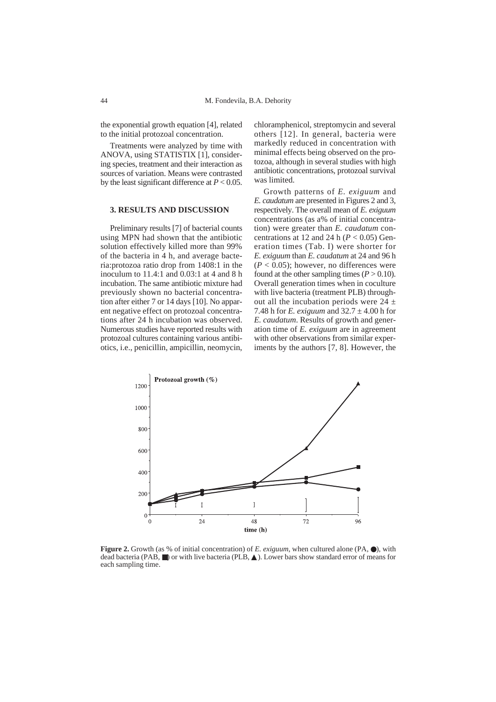the exponential growth equation [4], related to the initial protozoal concentration.

Treatments were analyzed by time with ANOVA, using STATISTIX [1], considering species, treatment and their interaction as sources of variation. Means were contrasted by the least significant difference at  $P < 0.05$ .

#### **3. RESULTS AND DISCUSSION**

Preliminary results [7] of bacterial counts using MPN had shown that the antibiotic solution effectively killed more than 99% of the bacteria in 4 h, and average bacteria:protozoa ratio drop from 1408:1 in the inoculum to 11.4:1 and 0.03:1 at 4 and 8 h incubation. The same antibiotic mixture had previously shown no bacterial concentration after either 7 or 14 days [10]. No apparent negative effect on protozoal concentrations after 24 h incubation was observed. Numerous studies have reported results with protozoal cultures containing various antibiotics, i.e., penicillin, ampicillin, neomycin,

chloramphenicol, streptomycin and several others [12]. In general, bacteria were markedly reduced in concentration with minimal effects being observed on the protozoa, although in several studies with high antibiotic concentrations, protozoal survival was limited.

Growth patterns of *E. exiguum* and *E. caudatum* are presented in Figures 2 and 3, respectively. The overall mean of *E. exiguum* concentrations (as a% of initial concentration) were greater than *E. caudatum* concentrations at 12 and 24 h  $(P < 0.05)$  Generation times (Tab. I) were shorter for *E. exiguum* than *E. caudatum* at 24 and 96 h  $(P < 0.05)$ ; however, no differences were found at the other sampling times  $(P > 0.10)$ . Overall generation times when in coculture with live bacteria (treatment PLB) throughout all the incubation periods were  $24 \pm$ 7.48 h for *E. exiguum* and 32.7 ± 4.00 h for *E. caudatum*. Results of growth and generation time of *E. exiguum* are in agreement with other observations from similar experiments by the authors [7, 8]. However, the



**Figure 2.** Growth (as % of initial concentration) of *E. exiguum*, when cultured alone (PA, ●), with dead bacteria (PAB, ■) or with live bacteria (PLB, ▲). Lower bars show standard error of means for each sampling time.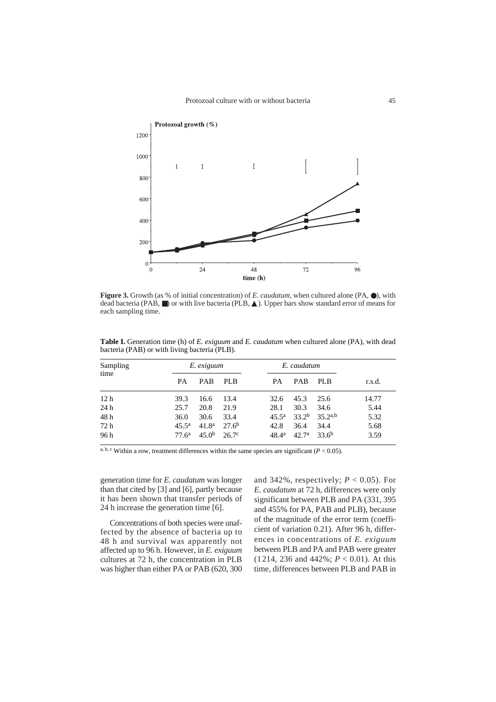

**Figure 3.** Growth (as % of initial concentration) of *E. caudatum*, when cultured alone (PA, ●), with dead bacteria (PAB, ■) or with live bacteria (PLB, ▲). Upper bars show standard error of means for each sampling time.

| Sampling<br>time | E. exiguum        |                   |                   |                | E. caudatum       |              |        |
|------------------|-------------------|-------------------|-------------------|----------------|-------------------|--------------|--------|
|                  | <b>PA</b>         | <b>PAB</b>        | PLB               | <b>PA</b>      | <b>PAB</b>        | PLB          | r.s.d. |
| 12 <sub>h</sub>  | 39.3              | 16.6              | 13.4              | 32.6           | 45.3              | 25.6         | 14.77  |
| 24h              | 25.7              | 20.8              | 21.9              | 28.1           | 30.3              | 34.6         | 5.44   |
| 48 h             | 36.0              | 30.6              | 33.4              | $45.5^{\rm a}$ | 33.2 <sup>b</sup> | $35.2^{a,b}$ | 5.32   |
| 72 h             | $45.5^{\rm a}$    | 41.8 <sup>a</sup> | 27.6 <sup>b</sup> | 42.8           | 36.4              | 34.4         | 5.68   |
| 96 h             | 77.6 <sup>a</sup> | 45.0 <sup>b</sup> | 26.7c             | $48.4^{\rm a}$ | 42.7 <sup>a</sup> | $33.6^{b}$   | 3.59   |

**Table I.** Generation time (h) of *E. exiguum* and *E. caudatum* when cultured alone (PA), with dead bacteria (PAB) or with living bacteria (PLB).

a, b, c Within a row, treatment differences within the same species are significant  $(P < 0.05)$ .

generation time for *E. caudatum* was longer than that cited by [3] and [6], partly because it has been shown that transfer periods of 24 h increase the generation time [6].

Concentrations of both species were unaffected by the absence of bacteria up to 48 h and survival was apparently not affected up to 96 h. However, in *E. exiguum* cultures at 72 h, the concentration in PLB was higher than either PA or PAB (620, 300

and 342%, respectively;  $P < 0.05$ ). For *E. caudatum* at 72 h*,* differences were only significant between PLB and PA (331, 395 and 455% for PA, PAB and PLB), because of the magnitude of the error term (coefficient of variation 0.21). After 96 h, differences in concentrations of *E. exiguum* between PLB and PA and PAB were greater (1214, 236 and 442%; *P* < 0.01). At this time, differences between PLB and PAB in